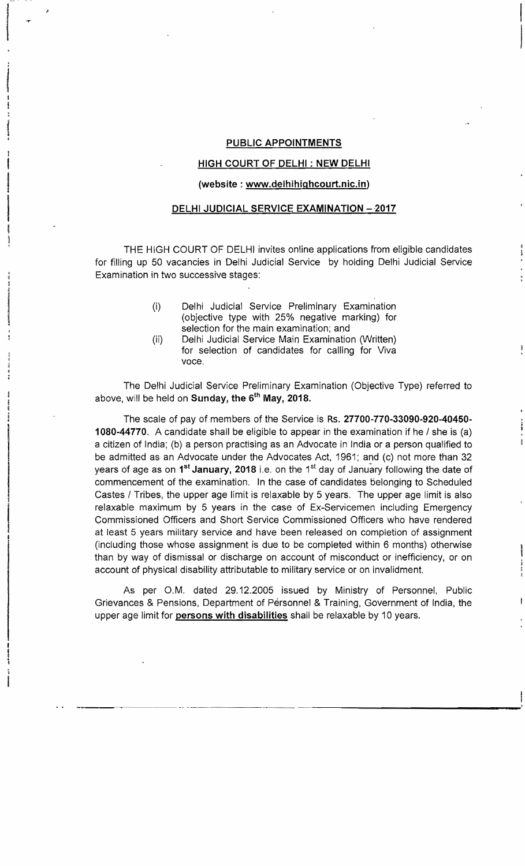### PUBLIC APPOINTMENTS

 $\frac{1}{2}$ I

.<br>1976 - *Parth Geograph*<br>1976 - Paris Barnett, politik eta politik eta politik eta politik eta politik eta politik<br>1981 - Paris Barnett, politik eta politik eta politik eta politik eta politik eta politik eta politik eta

I

t  $\mathbf{I}$ ;

## HIGH COURT OF DELHI: NEW DELHI

#### (website: www.delhihighcourt.nic.in)

## DELHI JUDICIAL SERVICE EXAMINATION - 2017

THE HIGH COURT OF DELHI invites online applications from eligible candidates for filling up 50 vacancies in Delhi Judicial Service by holding Delhi Judicial Service Examination in two successive stages:

- (i) Delhi Judicial Service Preliminary Examination (objective type with 25% negative marking) for selection for the main examination; and
- (ii) Delhi Judicial Service Main Examination (Written) for selection of candidates for calling for Viva voce.

The Delhi Judicial Service Preliminary Examination (Objective Type) referred to above, will be held on Sunday, the  $6<sup>th</sup>$  May, 2018.

The scale of pay of members of the Service is Rs. 27700-770-33090-920-40450 1080-44770. A candidate shall be eligible to appear in the examination if he / she is (a) a citizen of India; (b) a person practising as an Advocate in India or a person qualified to be admitted as an Advocate under the Advocates Act, 1961; and (c) not more than 32 years of age as on  $1^{st}$  January, 2018 i.e. on the  $1^{st}$  day of January following the date of commencement of the examination. In the case of candidates belonging to Scheduled Castes I Tribes, the upper age limit is relaxable by 5 years. The upper age limit is also relaxable maximum by 5 years in the case of Ex-Servicemen including Emergency Commissioned Officers and Short Service Commissioned Officers who have rendered at least 5 years military service and have been released on completion of assignment (including those whose assignment is due to be completed within 6 months) otherwise than by way of dismissal or discharge on account of misconduct or inefficiency, or on account of physical disability attributable to military service or on invalidment.

As per O.M. dated 29.12.2005 issued by Ministry of Personnel, Public Grievances & Pensions, Department of Personnel & Training, Government of India, the upper age limit for persons with disabilities shall be relaxable by 10 years.

~--~--... --~-. ------------ -~----------------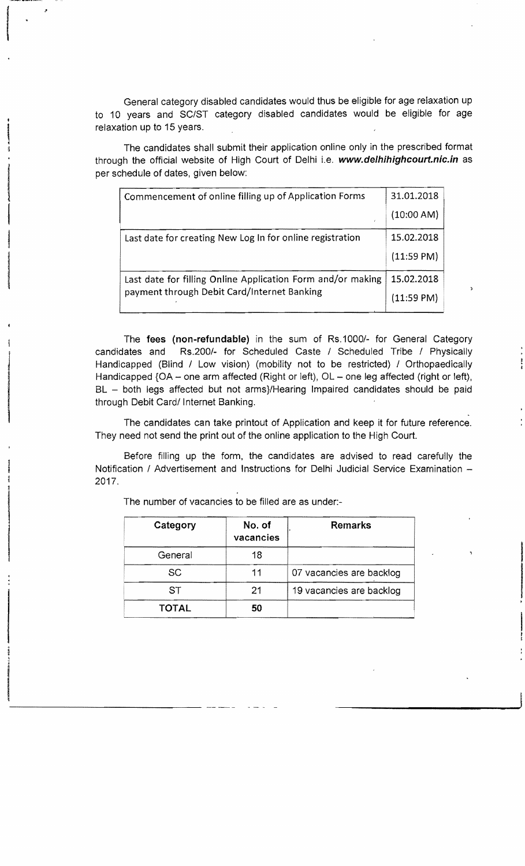General category disabled candidates would thus be eligible for age relaxation up to 10 years and SC/ST category disabled candidates would be eligible for age relaxation up to 15 years.

The candidates shall submit their application online only in the prescribed format through the official website of High Court of Delhi i.e. **www.delhihighcourt.nic.in** as per schedule of dates, given below:

| Commencement of online filling up of Application Forms      | 31.01.2018           |
|-------------------------------------------------------------|----------------------|
|                                                             | (10:00 AM)           |
| Last date for creating New Log In for online registration   | 15.02.2018           |
|                                                             | $(11:59 \text{ PM})$ |
| Last date for filling Online Application Form and/or making | 15.02.2018           |
| payment through Debit Card/Internet Banking                 | (11:59 PM)           |

1

t<br>t<br>t

The fees (non-refundable) in the sum of Rs.1000/- for General Category candidates and Rs.200/- for Scheduled Caste / Scheduled Tribe / Physically Handicapped (Blind / Low vision) (mobility not to be restricted) / Orthopaedically Handicapped {OA - one arm affected (Right or left), OL - one leg affected (right or left), BL - both legs affected but not arms}/Hearing Impaired candidates should be paid through Debit Card/ Internet Banking.

The candidates can take printout of Application and keep it for future reference. They need not send the print out of the online application to the High Court.

Before filling up the form, the candidates are advised to read carefully the Notification / Advertisement and Instructions for Delhi Judicial Service Examination -2017.

| Category     | No. of<br>vacancies | <b>Remarks</b>           |
|--------------|---------------------|--------------------------|
| General      | 18                  |                          |
| SC           | 11                  | 07 vacancies are backlog |
| ST           | 21                  | 19 vacancies are backlog |
| <b>TOTAL</b> | 50                  |                          |

The number of vacancies to be filled are as under:-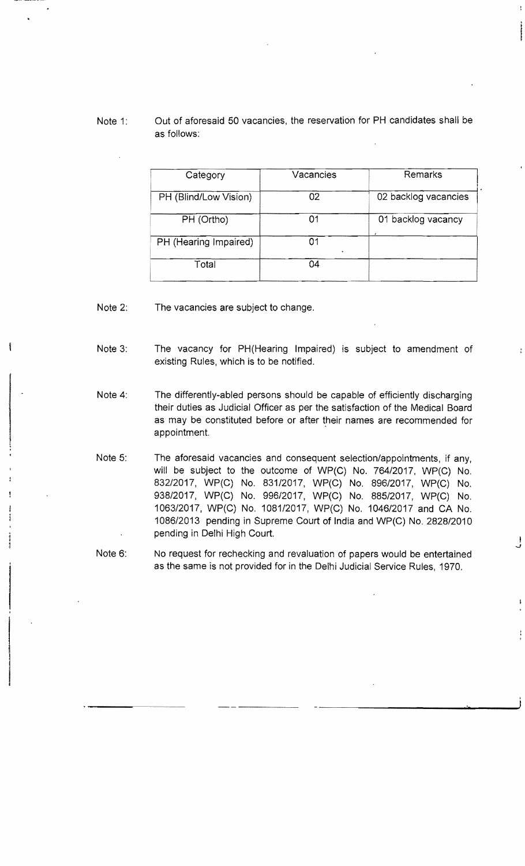# Note 1: Out of aforesaid 50 vacancies, the reservation for PH candidates shall be as follows:

| Category              | Vacancies | Remarks              |
|-----------------------|-----------|----------------------|
| PH (Blind/Low Vision) | 02        | 02 backlog vacancies |
| PH (Ortho)            | 01        | 01 backlog vacancy   |
| PH (Hearing Impaired) | ი1        |                      |
| Total                 | 04        |                      |

Note 2: The vacancies are subject to change.

-----

....--~

- Note 3: The vacancy for PH(Hearing Impaired) is subject to amendment of existing Rules, which is to be notified.
- Note 4: The differently-abled persons should be capable of efficiently discharging their duties as Judicial Officer as per the satisfaction of the Medical Board as may be constituted before or after their names are recommended for appointment.
- Note 5: The aforesaid vacancies and consequent selection/appointments, if any, will be subject to the outcome of WP(C) No. 764/2017, WP(C) No. 832/2017, WP(C) No. 831/2017, WP(C) No. 896/2017, WP(C) No. 938/2017, WP(C) No. 996/2017, WP(C) No. 885/2017, WP(C) No. 1063/2017, WP(C) No. 1081/2017, WP(C) No. 1046/2017 and CA No. 1086/2013 pending in Supreme Court of India and WP(C) No. 2828/2010 pending in Delhi High Court. in the control of the control of the control of the control of the control of the control of the control of th<br>■ International of the control of the control of the control of the control of the control of the control of
- Note 6: No request for rechecking and revaluation of papers would be entertained as the same is not provided for in the Delhi Judicial Service Rules, 1970.

*...J*